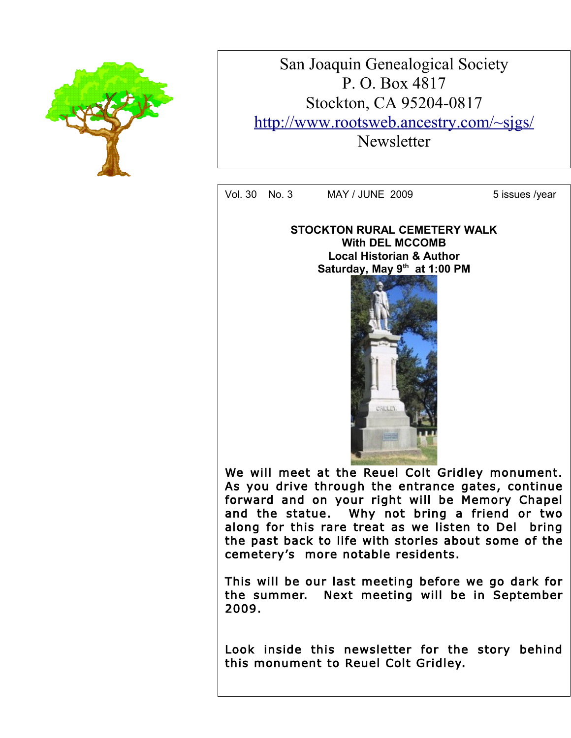

San Joaquin Genealogical Society P. O. Box 4817 Stockton, CA 95204-0817 <http://www.rootsweb.ancestry.com/~sjgs/> **Newsletter** 

Vol. 30 No. 3 MAY / JUNE 2009 5 issues /year

**STOCKTON RURAL CEMETERY WALK With DEL MCCOMB** Local Historian & Author **Secretary & Publicity** – **Saturday, May 9th at 1:00 PM**



As you drive through the entrance gates, continue forward and on your right will be Memory Chapel and the statue: May not bring a friend of two<br>along for this rare treat as we listen to Del bring We nsten to Den the past back to life with stories about some of the We will meet at the Reuel Colt Gridley monument. and the statue. Why not bring a friend or two cemetery's more notable residents.

This will be our last meeting before we go dark for **General Section 2016** the summer. Next meeting will be in September 2009.

Look inside this newsletter for the story behind this monument to Reuel Colt Gridley.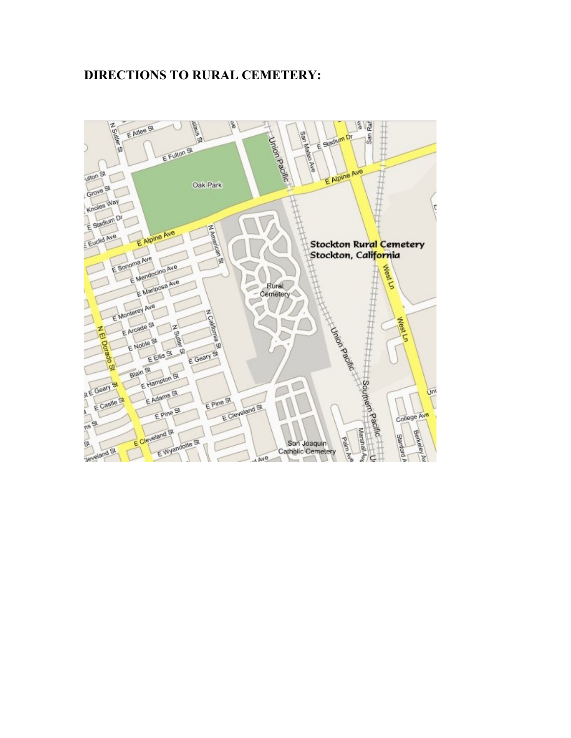## **DIRECTIONS TO RURAL CEMETERY:**

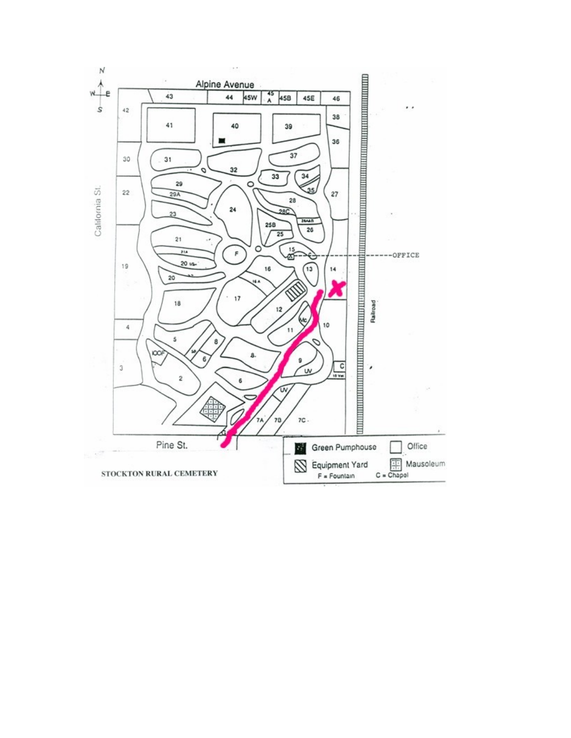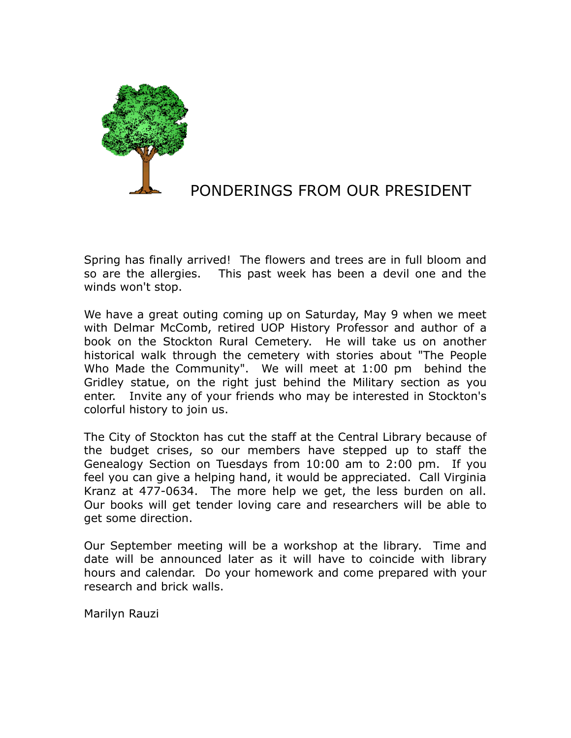

# PONDERINGS FROM OUR PRESIDENT

Spring has finally arrived! The flowers and trees are in full bloom and so are the allergies. This past week has been a devil one and the winds won't stop.

We have a great outing coming up on Saturday, May 9 when we meet with Delmar McComb, retired UOP History Professor and author of a book on the Stockton Rural Cemetery. He will take us on another historical walk through the cemetery with stories about "The People Who Made the Community". We will meet at 1:00 pm behind the Gridley statue, on the right just behind the Military section as you enter. Invite any of your friends who may be interested in Stockton's colorful history to join us.

The City of Stockton has cut the staff at the Central Library because of the budget crises, so our members have stepped up to staff the Genealogy Section on Tuesdays from 10:00 am to 2:00 pm. If you feel you can give a helping hand, it would be appreciated. Call Virginia Kranz at 477-0634. The more help we get, the less burden on all. Our books will get tender loving care and researchers will be able to get some direction.

Our September meeting will be a workshop at the library. Time and date will be announced later as it will have to coincide with library hours and calendar. Do your homework and come prepared with your research and brick walls.

Marilyn Rauzi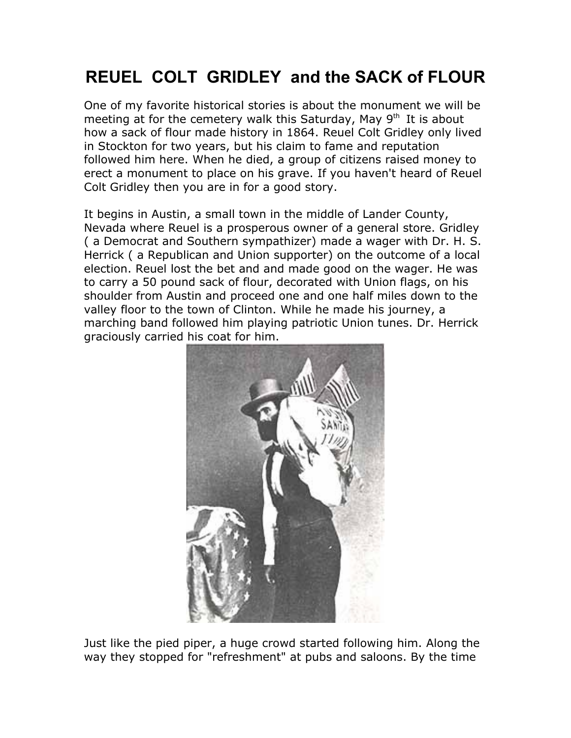# **REUEL COLT GRIDLEY and the SACK of FLOUR**

One of my favorite historical stories is about the monument we will be meeting at for the cemetery walk this Saturday, May  $9<sup>th</sup>$  It is about how a sack of flour made history in 1864. Reuel Colt Gridley only lived in Stockton for two years, but his claim to fame and reputation followed him here. When he died, a group of citizens raised money to erect a monument to place on his grave. If you haven't heard of Reuel Colt Gridley then you are in for a good story.

It begins in Austin, a small town in the middle of Lander County, Nevada where Reuel is a prosperous owner of a general store. Gridley ( a Democrat and Southern sympathizer) made a wager with Dr. H. S. Herrick ( a Republican and Union supporter) on the outcome of a local election. Reuel lost the bet and and made good on the wager. He was to carry a 50 pound sack of flour, decorated with Union flags, on his shoulder from Austin and proceed one and one half miles down to the valley floor to the town of Clinton. While he made his journey, a marching band followed him playing patriotic Union tunes. Dr. Herrick graciously carried his coat for him.



Just like the pied piper, a huge crowd started following him. Along the way they stopped for "refreshment" at pubs and saloons. By the time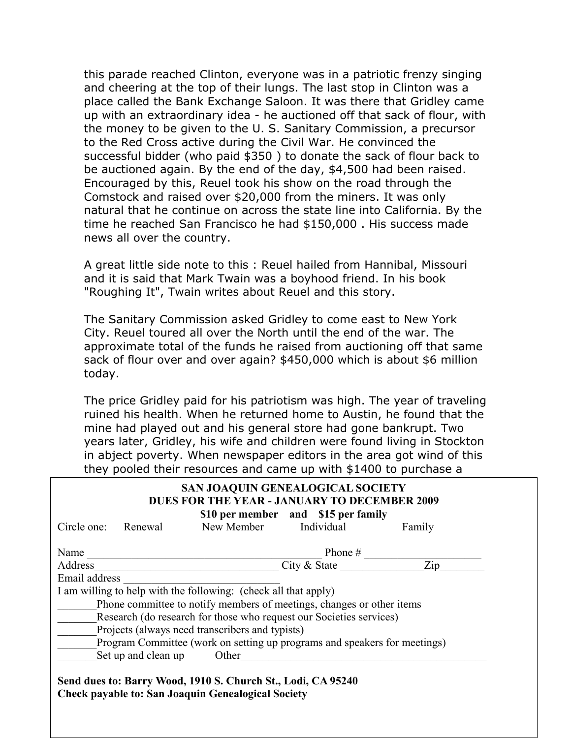this parade reached Clinton, everyone was in a patriotic frenzy singing and cheering at the top of their lungs. The last stop in Clinton was a place called the Bank Exchange Saloon. It was there that Gridley came up with an extraordinary idea - he auctioned off that sack of flour, with the money to be given to the U. S. Sanitary Commission, a precursor to the Red Cross active during the Civil War. He convinced the successful bidder (who paid \$350 ) to donate the sack of flour back to be auctioned again. By the end of the day, \$4,500 had been raised. Encouraged by this, Reuel took his show on the road through the Comstock and raised over \$20,000 from the miners. It was only natural that he continue on across the state line into California. By the time he reached San Francisco he had \$150,000 . His success made news all over the country.

A great little side note to this : Reuel hailed from Hannibal, Missouri and it is said that Mark Twain was a boyhood friend. In his book "Roughing It", Twain writes about Reuel and this story.

The Sanitary Commission asked Gridley to come east to New York City. Reuel toured all over the North until the end of the war. The approximate total of the funds he raised from auctioning off that same sack of flour over and over again? \$450,000 which is about \$6 million today.

The price Gridley paid for his patriotism was high. The year of traveling ruined his health. When he returned home to Austin, he found that the mine had played out and his general store had gone bankrupt. Two years later, Gridley, his wife and children were found living in Stockton in abject poverty. When newspaper editors in the area got wind of this they pooled their resources and came up with \$1400 to purchase a

| SAN JOAQUIN GENEALOGICAL SOCIETY<br><b>DUES FOR THE YEAR - JANUARY TO DECEMBER 2009</b><br>\$10 per member and \$15 per family |                       |                   |
|--------------------------------------------------------------------------------------------------------------------------------|-----------------------|-------------------|
| Circle one:<br>Renewal                                                                                                         | New Member Individual | Family            |
| Name                                                                                                                           | Phone $#$             |                   |
| Address                                                                                                                        | City & State          | $\overline{Z}$ ip |
| Email address                                                                                                                  |                       |                   |
| I am willing to help with the following: (check all that apply)                                                                |                       |                   |
| Phone committee to notify members of meetings, changes or other items                                                          |                       |                   |
| Research (do research for those who request our Societies services)                                                            |                       |                   |
| Projects (always need transcribers and typists)                                                                                |                       |                   |
| Program Committee (work on setting up programs and speakers for meetings)                                                      |                       |                   |
| Set up and clean up<br>Other                                                                                                   |                       |                   |

**Send dues to: Barry Wood, 1910 S. Church St., Lodi, CA 95240 Check payable to: San Joaquin Genealogical Society**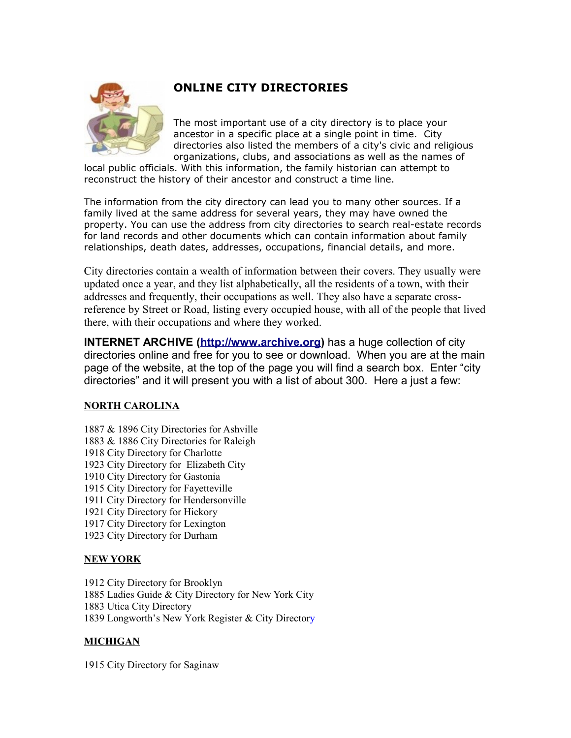

### **ONLINE CITY DIRECTORIES**

The most important use of a city directory is to place your ancestor in a specific place at a single point in time. City directories also listed the members of a city's civic and religious organizations, clubs, and associations as well as the names of

local public officials. With this information, the family historian can attempt to reconstruct the history of their ancestor and construct a time line.

The information from the city directory can lead you to many other sources. If a family lived at the same address for several years, they may have owned the property. You can use the address from city directories to search real-estate records for land records and other documents which can contain information about family relationships, death dates, addresses, occupations, financial details, and more.

City directories contain a wealth of information between their covers. They usually were updated once a year, and they list alphabetically, all the residents of a town, with their addresses and frequently, their occupations as well. They also have a separate crossreference by Street or Road, listing every occupied house, with all of the people that lived there, with their occupations and where they worked.

**INTERNET ARCHIVE [\(http://www.archive.org\)](http://www.archive.org/)** has a huge collection of city directories online and free for you to see or download. When you are at the main page of the website, at the top of the page you will find a search box. Enter "city directories" and it will present you with a list of about 300. Here a just a few:

#### **NORTH CAROLINA**

1887 & 1896 City Directories for Ashville 1883 & 1886 City Directories for Raleigh 1918 City Directory for Charlotte 1923 City Directory for Elizabeth City 1910 City Directory for Gastonia 1915 City Directory for Fayetteville 1911 City Directory for Hendersonville 1921 City Directory for Hickory 1917 City Directory for Lexington 1923 City Directory for Durham

#### **NEW YORK**

1912 City Directory for Brooklyn 1885 Ladies Guide & City Directory for New York City 1883 Utica City Directory 1839 Longworth's New York Register & City Directory

#### **MICHIGAN**

1915 City Directory for Saginaw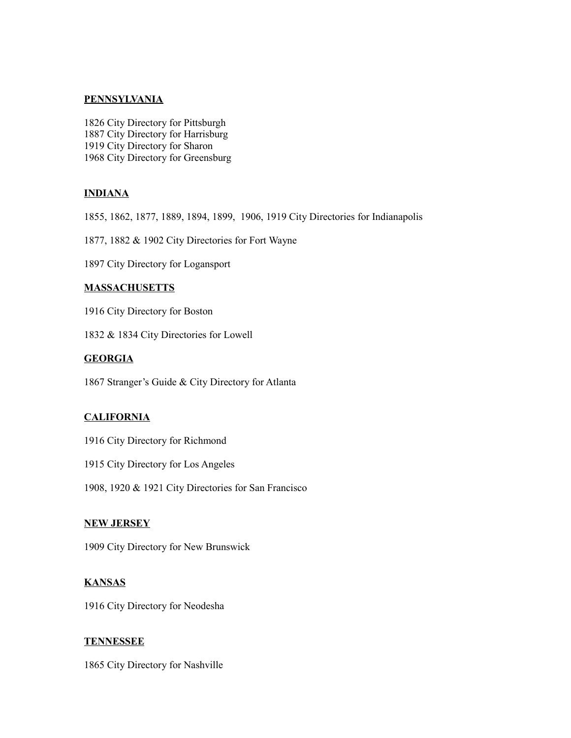#### **PENNSYLVANIA**

1826 City Directory for Pittsburgh 1887 City Directory for Harrisburg 1919 City Directory for Sharon 1968 City Directory for Greensburg

#### **INDIANA**

1855, 1862, 1877, 1889, 1894, 1899, 1906, 1919 City Directories for Indianapolis

1877, 1882 & 1902 City Directories for Fort Wayne

1897 City Directory for Logansport

#### **MASSACHUSETTS**

1916 City Directory for Boston

1832 & 1834 City Directories for Lowell

#### **GEORGIA**

1867 Stranger's Guide & City Directory for Atlanta

#### **CALIFORNIA**

- 1916 City Directory for Richmond
- 1915 City Directory for Los Angeles

1908, 1920 & 1921 City Directories for San Francisco

#### **NEW JERSEY**

1909 City Directory for New Brunswick

#### **KANSAS**

1916 City Directory for Neodesha

#### **TENNESSEE**

1865 City Directory for Nashville